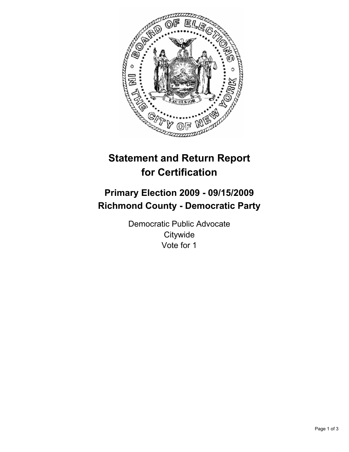

# **Statement and Return Report for Certification**

## **Primary Election 2009 - 09/15/2009 Richmond County - Democratic Party**

Democratic Public Advocate **Citywide** Vote for 1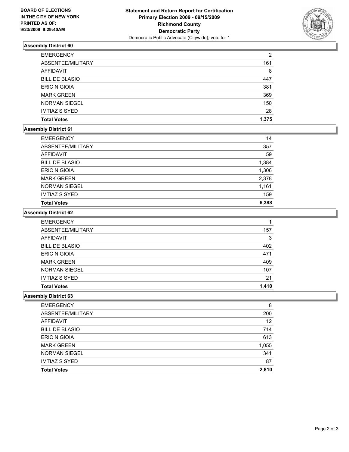

## **Assembly District 60**

| <b>EMERGENCY</b>      | 2     |
|-----------------------|-------|
| ABSENTEE/MILITARY     | 161   |
| AFFIDAVIT             | 8     |
| <b>BILL DE BLASIO</b> | 447   |
| <b>ERIC N GIOIA</b>   | 381   |
| <b>MARK GREEN</b>     | 369   |
| <b>NORMAN SIEGEL</b>  | 150   |
| <b>IMTIAZ S SYED</b>  | 28    |
| <b>Total Votes</b>    | 1.375 |

#### **Assembly District 61**

| <b>EMERGENCY</b>      | 14    |
|-----------------------|-------|
| ABSENTEE/MILITARY     | 357   |
| <b>AFFIDAVIT</b>      | 59    |
| <b>BILL DE BLASIO</b> | 1,384 |
| <b>ERIC N GIOIA</b>   | 1,306 |
| <b>MARK GREEN</b>     | 2,378 |
| <b>NORMAN SIEGEL</b>  | 1,161 |
| <b>IMTIAZ S SYED</b>  | 159   |
| <b>Total Votes</b>    | 6,388 |

#### **Assembly District 62**

| <b>EMERGENCY</b>      |       |
|-----------------------|-------|
| ABSENTEE/MILITARY     | 157   |
| AFFIDAVIT             | 3     |
| <b>BILL DE BLASIO</b> | 402   |
| <b>ERIC N GIOIA</b>   | 471   |
| <b>MARK GREEN</b>     | 409   |
| <b>NORMAN SIEGEL</b>  | 107   |
| <b>IMTIAZ S SYED</b>  | 21    |
| <b>Total Votes</b>    | 1,410 |

### **Assembly District 63**

| <b>EMERGENCY</b>      | 8     |
|-----------------------|-------|
| ABSENTEE/MILITARY     | 200   |
| AFFIDAVIT             | 12    |
| <b>BILL DE BLASIO</b> | 714   |
| <b>ERIC N GIOIA</b>   | 613   |
| <b>MARK GREEN</b>     | 1,055 |
| <b>NORMAN SIEGEL</b>  | 341   |
| <b>IMTIAZ S SYED</b>  | 87    |
| <b>Total Votes</b>    | 2,810 |